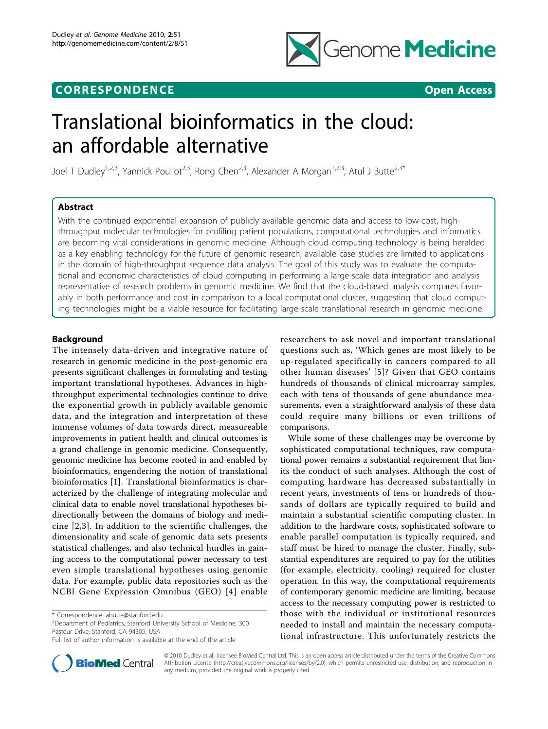

## **CORRESPONDENCE CORRESPONDENCE** *CORRESPONDENCE*



# Translational bioinformatics in the cloud: an affordable alternative

Joel T Dudley<sup>1,2,3</sup>, Yannick Pouliot<sup>2,3</sup>, Rong Chen<sup>2,3</sup>, Alexander A Morgan<sup>1,2,3</sup>, Atul J Butte<sup>2,3\*</sup>

## Abstract

With the continued exponential expansion of publicly available genomic data and access to low-cost, highthroughput molecular technologies for profiling patient populations, computational technologies and informatics are becoming vital considerations in genomic medicine. Although cloud computing technology is being heralded as a key enabling technology for the future of genomic research, available case studies are limited to applications in the domain of high-throughput sequence data analysis. The goal of this study was to evaluate the computational and economic characteristics of cloud computing in performing a large-scale data integration and analysis representative of research problems in genomic medicine. We find that the cloud-based analysis compares favorably in both performance and cost in comparison to a local computational cluster, suggesting that cloud computing technologies might be a viable resource for facilitating large-scale translational research in genomic medicine.

## Background

The intensely data-driven and integrative nature of research in genomic medicine in the post-genomic era presents significant challenges in formulating and testing important translational hypotheses. Advances in highthroughput experimental technologies continue to drive the exponential growth in publicly available genomic data, and the integration and interpretation of these immense volumes of data towards direct, measureable improvements in patient health and clinical outcomes is a grand challenge in genomic medicine. Consequently, genomic medicine has become rooted in and enabled by bioinformatics, engendering the notion of translational bioinformatics [\[1](#page-5-0)]. Translational bioinformatics is characterized by the challenge of integrating molecular and clinical data to enable novel translational hypotheses bidirectionally between the domains of biology and medicine [\[2,3](#page-5-0)]. In addition to the scientific challenges, the dimensionality and scale of genomic data sets presents statistical challenges, and also technical hurdles in gaining access to the computational power necessary to test even simple translational hypotheses using genomic data. For example, public data repositories such as the NCBI Gene Expression Omnibus (GEO) [[4](#page-5-0)] enable

<sup>2</sup> Department of Pediatrics, Stanford University School of Medicine, 300 Pasteur Drive, Stanford, CA 94305, USA



While some of these challenges may be overcome by sophisticated computational techniques, raw computational power remains a substantial requirement that limits the conduct of such analyses. Although the cost of computing hardware has decreased substantially in recent years, investments of tens or hundreds of thousands of dollars are typically required to build and maintain a substantial scientific computing cluster. In addition to the hardware costs, sophisticated software to enable parallel computation is typically required, and staff must be hired to manage the cluster. Finally, substantial expenditures are required to pay for the utilities (for example, electricity, cooling) required for cluster operation. In this way, the computational requirements of contemporary genomic medicine are limiting, because access to the necessary computing power is restricted to those with the individual or institutional resources needed to install and maintain the necessary computational infrastructure. This unfortunately restricts the



© 2010 Dudley et al.; licensee BioMed Central Ltd. This is an open access article distributed under the terms of the Creative Commons Attribution License [\(http://creativecommons.org/licenses/by/2.0](http://creativecommons.org/licenses/by/2.0)), which permits unrestricted use, distribution, and reproduction in any medium, provided the original work is properly cited

<sup>\*</sup> Correspondence: [abutte@stanford.edu](mailto:abutte@stanford.edu)

Full list of author information is available at the end of the article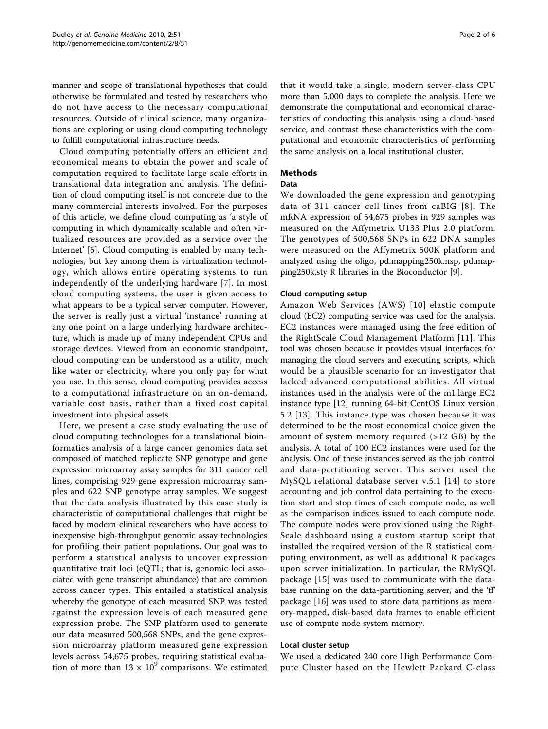manner and scope of translational hypotheses that could otherwise be formulated and tested by researchers who do not have access to the necessary computational resources. Outside of clinical science, many organizations are exploring or using cloud computing technology to fulfill computational infrastructure needs.

Cloud computing potentially offers an efficient and economical means to obtain the power and scale of computation required to facilitate large-scale efforts in translational data integration and analysis. The definition of cloud computing itself is not concrete due to the many commercial interests involved. For the purposes of this article, we define cloud computing as 'a style of computing in which dynamically scalable and often virtualized resources are provided as a service over the Internet' [[6\]](#page-5-0). Cloud computing is enabled by many technologies, but key among them is virtualization technology, which allows entire operating systems to run independently of the underlying hardware [\[7](#page-5-0)]. In most cloud computing systems, the user is given access to what appears to be a typical server computer. However, the server is really just a virtual 'instance' running at any one point on a large underlying hardware architecture, which is made up of many independent CPUs and storage devices. Viewed from an economic standpoint, cloud computing can be understood as a utility, much like water or electricity, where you only pay for what you use. In this sense, cloud computing provides access to a computational infrastructure on an on-demand, variable cost basis, rather than a fixed cost capital investment into physical assets.

Here, we present a case study evaluating the use of cloud computing technologies for a translational bioinformatics analysis of a large cancer genomics data set composed of matched replicate SNP genotype and gene expression microarray assay samples for 311 cancer cell lines, comprising 929 gene expression microarray samples and 622 SNP genotype array samples. We suggest that the data analysis illustrated by this case study is characteristic of computational challenges that might be faced by modern clinical researchers who have access to inexpensive high-throughput genomic assay technologies for profiling their patient populations. Our goal was to perform a statistical analysis to uncover expression quantitative trait loci (eQTL; that is, genomic loci associated with gene transcript abundance) that are common across cancer types. This entailed a statistical analysis whereby the genotype of each measured SNP was tested against the expression levels of each measured gene expression probe. The SNP platform used to generate our data measured 500,568 SNPs, and the gene expression microarray platform measured gene expression levels across 54,675 probes, requiring statistical evaluation of more than  $13 \times 10^9$  comparisons. We estimated that it would take a single, modern server-class CPU more than 5,000 days to complete the analysis. Here we demonstrate the computational and economical characteristics of conducting this analysis using a cloud-based service, and contrast these characteristics with the computational and economic characteristics of performing the same analysis on a local institutional cluster.

## Methods

## Data

We downloaded the gene expression and genotyping data of 311 cancer cell lines from caBIG [[8\]](#page-5-0). The mRNA expression of 54,675 probes in 929 samples was measured on the Affymetrix U133 Plus 2.0 platform. The genotypes of 500,568 SNPs in 622 DNA samples were measured on the Affymetrix 500K platform and analyzed using the oligo, pd.mapping250k.nsp, pd.mapping250k.sty R libraries in the Bioconductor [\[9](#page-5-0)].

## Cloud computing setup

Amazon Web Services (AWS) [[10\]](#page-5-0) elastic compute cloud (EC2) computing service was used for the analysis. EC2 instances were managed using the free edition of the RightScale Cloud Management Platform [[11\]](#page-5-0). This tool was chosen because it provides visual interfaces for managing the cloud servers and executing scripts, which would be a plausible scenario for an investigator that lacked advanced computational abilities. All virtual instances used in the analysis were of the m1.large EC2 instance type [[12\]](#page-5-0) running 64-bit CentOS Linux version 5.2 [[13](#page-5-0)]. This instance type was chosen because it was determined to be the most economical choice given the amount of system memory required (>12 GB) by the analysis. A total of 100 EC2 instances were used for the analysis. One of these instances served as the job control and data-partitioning server. This server used the MySQL relational database server v.5.1 [[14](#page-5-0)] to store accounting and job control data pertaining to the execution start and stop times of each compute node, as well as the comparison indices issued to each compute node. The compute nodes were provisioned using the Right-Scale dashboard using a custom startup script that installed the required version of the R statistical computing environment, as well as additional R packages upon server initialization. In particular, the RMySQL package [\[15\]](#page-5-0) was used to communicate with the database running on the data-partitioning server, and the 'ff' package [\[16](#page-5-0)] was used to store data partitions as memory-mapped, disk-based data frames to enable efficient use of compute node system memory.

#### Local cluster setup

We used a dedicated 240 core High Performance Compute Cluster based on the Hewlett Packard C-class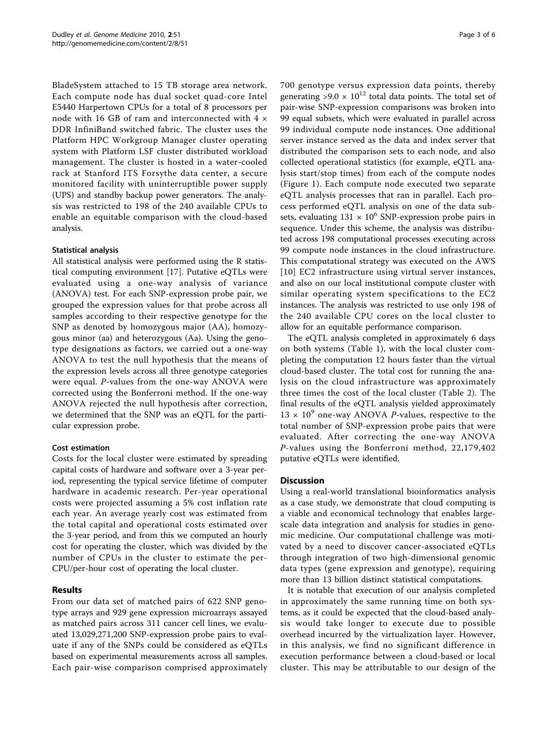BladeSystem attached to 15 TB storage area network. Each compute node has dual socket quad-core Intel E5440 Harpertown CPUs for a total of 8 processors per node with 16 GB of ram and interconnected with 4 × DDR InfiniBand switched fabric. The cluster uses the Platform HPC Workgroup Manager cluster operating system with Platform LSF cluster distributed workload management. The cluster is hosted in a water-cooled rack at Stanford ITS Forsythe data center, a secure monitored facility with uninterruptible power supply (UPS) and standby backup power generators. The analysis was restricted to 198 of the 240 available CPUs to enable an equitable comparison with the cloud-based analysis.

## Statistical analysis

All statistical analysis were performed using the R statistical computing environment [\[17](#page-5-0)]. Putative eQTLs were evaluated using a one-way analysis of variance (ANOVA) test. For each SNP-expression probe pair, we grouped the expression values for that probe across all samples according to their respective genotype for the SNP as denoted by homozygous major (AA), homozygous minor (aa) and heterozygous (Aa). Using the genotype designations as factors, we carried out a one-way ANOVA to test the null hypothesis that the means of the expression levels across all three genotype categories were equal. P-values from the one-way ANOVA were corrected using the Bonferroni method. If the one-way ANOVA rejected the null hypothesis after correction, we determined that the SNP was an eQTL for the particular expression probe.

## Cost estimation

Costs for the local cluster were estimated by spreading capital costs of hardware and software over a 3-year period, representing the typical service lifetime of computer hardware in academic research. Per-year operational costs were projected assuming a 5% cost inflation rate each year. An average yearly cost was estimated from the total capital and operational costs estimated over the 3-year period, and from this we computed an hourly cost for operating the cluster, which was divided by the number of CPUs in the cluster to estimate the per-CPU/per-hour cost of operating the local cluster.

## Results

From our data set of matched pairs of 622 SNP genotype arrays and 929 gene expression microarrays assayed as matched pairs across 311 cancer cell lines, we evaluated 13,029,271,200 SNP-expression probe pairs to evaluate if any of the SNPs could be considered as eQTLs based on experimental measurements across all samples. Each pair-wise comparison comprised approximately 700 genotype versus expression data points, thereby generating >9.0  $\times$  10<sup>12</sup> total data points. The total set of pair-wise SNP-expression comparisons was broken into 99 equal subsets, which were evaluated in parallel across 99 individual compute node instances. One additional server instance served as the data and index server that distributed the comparison sets to each node, and also collected operational statistics (for example, eQTL analysis start/stop times) from each of the compute nodes (Figure [1\)](#page-3-0). Each compute node executed two separate eQTL analysis processes that ran in parallel. Each process performed eQTL analysis on one of the data subsets, evaluating  $131 \times 10^6$  SNP-expression probe pairs in sequence. Under this scheme, the analysis was distributed across 198 computational processes executing across 99 compute node instances in the cloud infrastructure. This computational strategy was executed on the AWS [[10](#page-5-0)] EC2 infrastructure using virtual server instances, and also on our local institutional compute cluster with similar operating system specifications to the EC2 instances. The analysis was restricted to use only 198 of the 240 available CPU cores on the local cluster to allow for an equitable performance comparison.

The eQTL analysis completed in approximately 6 days on both systems (Table [1\)](#page-3-0), with the local cluster completing the computation 12 hours faster than the virtual cloud-based cluster. The total cost for running the analysis on the cloud infrastructure was approximately three times the cost of the local cluster (Table [2\)](#page-4-0). The final results of the eQTL analysis yielded approximately  $13 \times 10^{9}$  one-way ANOVA *P*-values, respective to the total number of SNP-expression probe pairs that were evaluated. After correcting the one-way ANOVA P-values using the Bonferroni method, 22,179,402 putative eQTLs were identified.

#### **Discussion**

Using a real-world translational bioinformatics analysis as a case study, we demonstrate that cloud computing is a viable and economical technology that enables largescale data integration and analysis for studies in genomic medicine. Our computational challenge was motivated by a need to discover cancer-associated eQTLs through integration of two high-dimensional genomic data types (gene expression and genotype), requiring more than 13 billion distinct statistical computations.

It is notable that execution of our analysis completed in approximately the same running time on both systems, as it could be expected that the cloud-based analysis would take longer to execute due to possible overhead incurred by the virtualization layer. However, in this analysis, we find no significant difference in execution performance between a cloud-based or local cluster. This may be attributable to our design of the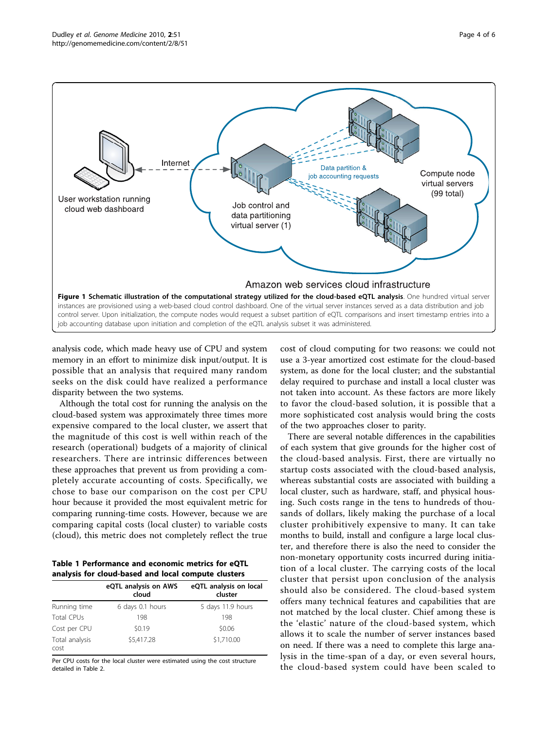<span id="page-3-0"></span>

analysis code, which made heavy use of CPU and system memory in an effort to minimize disk input/output. It is possible that an analysis that required many random seeks on the disk could have realized a performance disparity between the two systems.

Although the total cost for running the analysis on the cloud-based system was approximately three times more expensive compared to the local cluster, we assert that the magnitude of this cost is well within reach of the research (operational) budgets of a majority of clinical researchers. There are intrinsic differences between these approaches that prevent us from providing a completely accurate accounting of costs. Specifically, we chose to base our comparison on the cost per CPU hour because it provided the most equivalent metric for comparing running-time costs. However, because we are comparing capital costs (local cluster) to variable costs (cloud), this metric does not completely reflect the true

Table 1 Performance and economic metrics for eQTL analysis for cloud-based and local compute clusters

|                        | eQTL analysis on AWS<br>cloud | eQTL analysis on local<br>cluster |  |  |  |
|------------------------|-------------------------------|-----------------------------------|--|--|--|
| Running time           | 6 days 0.1 hours              | 5 days 11.9 hours                 |  |  |  |
| <b>Total CPUs</b>      | 198                           | 198                               |  |  |  |
| Cost per CPU           | \$0.19                        | \$0.06                            |  |  |  |
| Total analysis<br>cost | \$5,417.28                    | \$1,710.00                        |  |  |  |

Per CPU costs for the local cluster were estimated using the cost structure detailed in Table 2.

cost of cloud computing for two reasons: we could not use a 3-year amortized cost estimate for the cloud-based system, as done for the local cluster; and the substantial delay required to purchase and install a local cluster was not taken into account. As these factors are more likely to favor the cloud-based solution, it is possible that a more sophisticated cost analysis would bring the costs of the two approaches closer to parity.

There are several notable differences in the capabilities of each system that give grounds for the higher cost of the cloud-based analysis. First, there are virtually no startup costs associated with the cloud-based analysis, whereas substantial costs are associated with building a local cluster, such as hardware, staff, and physical housing. Such costs range in the tens to hundreds of thousands of dollars, likely making the purchase of a local cluster prohibitively expensive to many. It can take months to build, install and configure a large local cluster, and therefore there is also the need to consider the non-monetary opportunity costs incurred during initiation of a local cluster. The carrying costs of the local cluster that persist upon conclusion of the analysis should also be considered. The cloud-based system offers many technical features and capabilities that are not matched by the local cluster. Chief among these is the 'elastic' nature of the cloud-based system, which allows it to scale the number of server instances based on need. If there was a need to complete this large analysis in the time-span of a day, or even several hours, the cloud-based system could have been scaled to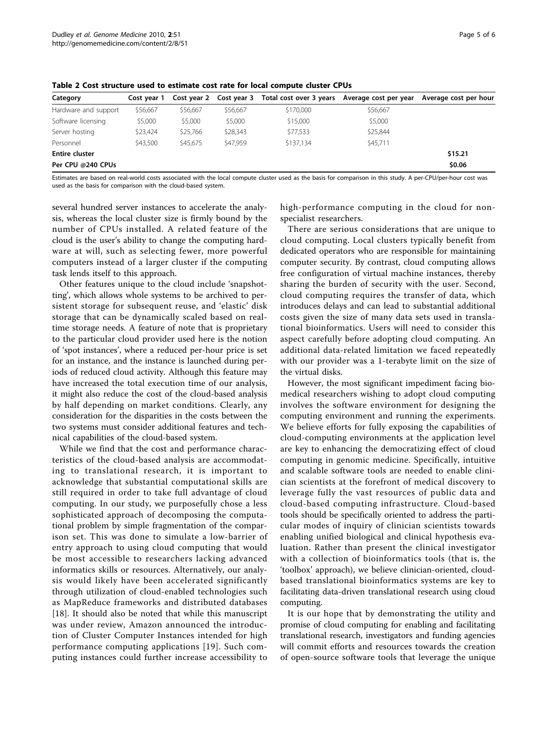| Category              | Cost vear 1 |          | Cost year 2 Cost year 3 | Total cost over 3 years | Average cost per year | Average cost per hour |
|-----------------------|-------------|----------|-------------------------|-------------------------|-----------------------|-----------------------|
| Hardware and support  | \$56,667    | \$56,667 | \$56,667                | \$170,000               | \$56,667              |                       |
| Software licensing    | \$5,000     | \$5,000  | \$5,000                 | \$15,000                | \$5,000               |                       |
| Server hosting        | \$23.424    | \$25,766 | \$28,343                | \$77,533                | \$25,844              |                       |
| Personnel             | \$43,500    | \$45.675 | \$47.959                | \$137.134               | \$45,711              |                       |
| <b>Entire cluster</b> |             |          |                         |                         |                       | \$15.21               |
| Per CPU @240 CPUs     |             |          |                         |                         |                       | \$0.06                |

<span id="page-4-0"></span>Table 2 Cost structure used to estimate cost rate for local compute cluster CPUs

Estimates are based on real-world costs associated with the local compute cluster used as the basis for comparison in this study. A per-CPU/per-hour cost was used as the basis for comparison with the cloud-based system.

several hundred server instances to accelerate the analysis, whereas the local cluster size is firmly bound by the number of CPUs installed. A related feature of the cloud is the user's ability to change the computing hardware at will, such as selecting fewer, more powerful computers instead of a larger cluster if the computing task lends itself to this approach.

Other features unique to the cloud include 'snapshotting', which allows whole systems to be archived to persistent storage for subsequent reuse, and 'elastic' disk storage that can be dynamically scaled based on realtime storage needs. A feature of note that is proprietary to the particular cloud provider used here is the notion of 'spot instances', where a reduced per-hour price is set for an instance, and the instance is launched during periods of reduced cloud activity. Although this feature may have increased the total execution time of our analysis, it might also reduce the cost of the cloud-based analysis by half depending on market conditions. Clearly, any consideration for the disparities in the costs between the two systems must consider additional features and technical capabilities of the cloud-based system.

While we find that the cost and performance characteristics of the cloud-based analysis are accommodating to translational research, it is important to acknowledge that substantial computational skills are still required in order to take full advantage of cloud computing. In our study, we purposefully chose a less sophisticated approach of decomposing the computational problem by simple fragmentation of the comparison set. This was done to simulate a low-barrier of entry approach to using cloud computing that would be most accessible to researchers lacking advanced informatics skills or resources. Alternatively, our analysis would likely have been accelerated significantly through utilization of cloud-enabled technologies such as MapReduce frameworks and distributed databases [[18\]](#page-5-0). It should also be noted that while this manuscript was under review, Amazon announced the introduction of Cluster Computer Instances intended for high performance computing applications [[19](#page-5-0)]. Such computing instances could further increase accessibility to high-performance computing in the cloud for nonspecialist researchers.

There are serious considerations that are unique to cloud computing. Local clusters typically benefit from dedicated operators who are responsible for maintaining computer security. By contrast, cloud computing allows free configuration of virtual machine instances, thereby sharing the burden of security with the user. Second, cloud computing requires the transfer of data, which introduces delays and can lead to substantial additional costs given the size of many data sets used in translational bioinformatics. Users will need to consider this aspect carefully before adopting cloud computing. An additional data-related limitation we faced repeatedly with our provider was a 1-terabyte limit on the size of the virtual disks.

However, the most significant impediment facing biomedical researchers wishing to adopt cloud computing involves the software environment for designing the computing environment and running the experiments. We believe efforts for fully exposing the capabilities of cloud-computing environments at the application level are key to enhancing the democratizing effect of cloud computing in genomic medicine. Specifically, intuitive and scalable software tools are needed to enable clinician scientists at the forefront of medical discovery to leverage fully the vast resources of public data and cloud-based computing infrastructure. Cloud-based tools should be specifically oriented to address the particular modes of inquiry of clinician scientists towards enabling unified biological and clinical hypothesis evaluation. Rather than present the clinical investigator with a collection of bioinformatics tools (that is, the 'toolbox' approach), we believe clinician-oriented, cloudbased translational bioinformatics systems are key to facilitating data-driven translational research using cloud computing.

It is our hope that by demonstrating the utility and promise of cloud computing for enabling and facilitating translational research, investigators and funding agencies will commit efforts and resources towards the creation of open-source software tools that leverage the unique